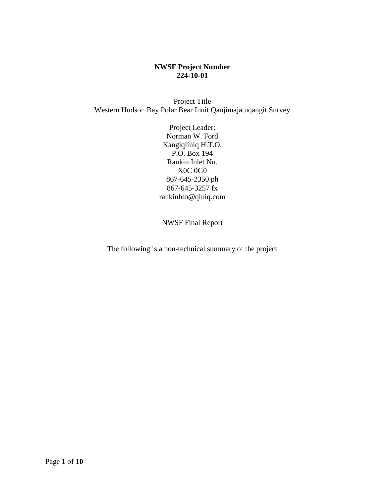#### **NWSF Project Number 224-10-01**

Project Title Western Hudson Bay Polar Bear Inuit Qaujimajatuqangit Survey

> Project Leader: Norman W. Ford Kangiqliniq H.T.O. P.O. Box 194 Rankin Inlet Nu. X0C 0G0 867-645-2350 ph 867-645-3257 fx rankinhto@qiniq.com

NWSF Final Report

The following is a non-technical summary of the project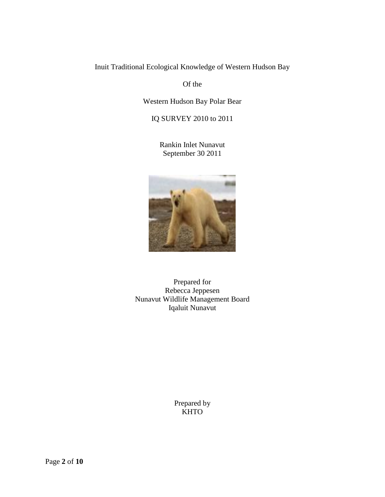Inuit Traditional Ecological Knowledge of Western Hudson Bay

Of the

Western Hudson Bay Polar Bear

IQ SURVEY 2010 to 2011

Rankin Inlet Nunavut September 30 2011



Prepared for Rebecca Jeppesen Nunavut Wildlife Management Board Iqaluit Nunavut

> Prepared by KHTO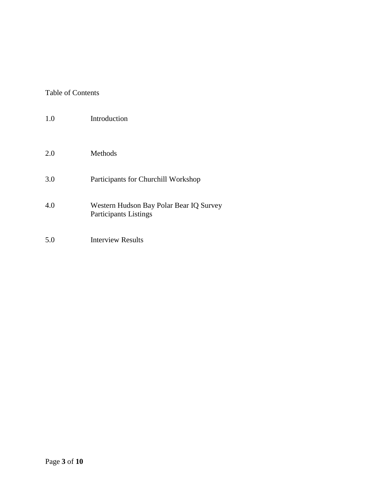# Table of Contents

| 1.0 | Introduction                                                            |
|-----|-------------------------------------------------------------------------|
| 2.0 | <b>Methods</b>                                                          |
| 3.0 | Participants for Churchill Workshop                                     |
| 4.0 | Western Hudson Bay Polar Bear IQ Survey<br><b>Participants Listings</b> |
| 5.0 | <b>Interview Results</b>                                                |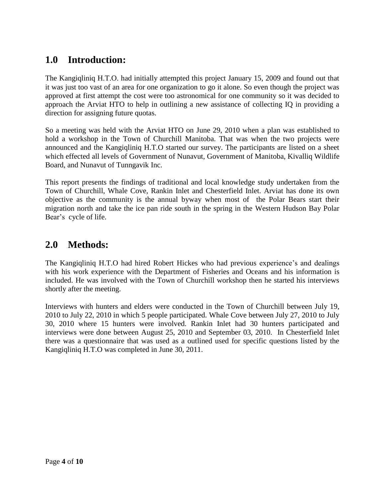# **1.0 Introduction:**

The Kangiqliniq H.T.O. had initially attempted this project January 15, 2009 and found out that it was just too vast of an area for one organization to go it alone. So even though the project was approved at first attempt the cost were too astronomical for one community so it was decided to approach the Arviat HTO to help in outlining a new assistance of collecting IQ in providing a direction for assigning future quotas.

So a meeting was held with the Arviat HTO on June 29, 2010 when a plan was established to hold a workshop in the Town of Churchill Manitoba. That was when the two projects were announced and the Kangiqliniq H.T.O started our survey. The participants are listed on a sheet which effected all levels of Government of Nunavut, Government of Manitoba, Kivalliq Wildlife Board, and Nunavut of Tunngavik Inc.

This report presents the findings of traditional and local knowledge study undertaken from the Town of Churchill, Whale Cove, Rankin Inlet and Chesterfield Inlet. Arviat has done its own objective as the community is the annual byway when most of the Polar Bears start their migration north and take the ice pan ride south in the spring in the Western Hudson Bay Polar Bear's cycle of life.

# **2.0 Methods:**

The Kangiqliniq H.T.O had hired Robert Hickes who had previous experience's and dealings with his work experience with the Department of Fisheries and Oceans and his information is included. He was involved with the Town of Churchill workshop then he started his interviews shortly after the meeting.

Interviews with hunters and elders were conducted in the Town of Churchill between July 19, 2010 to July 22, 2010 in which 5 people participated. Whale Cove between July 27, 2010 to July 30, 2010 where 15 hunters were involved. Rankin Inlet had 30 hunters participated and interviews were done between August 25, 2010 and September 03, 2010. In Chesterfield Inlet there was a questionnaire that was used as a outlined used for specific questions listed by the Kangiqliniq H.T.O was completed in June 30, 2011.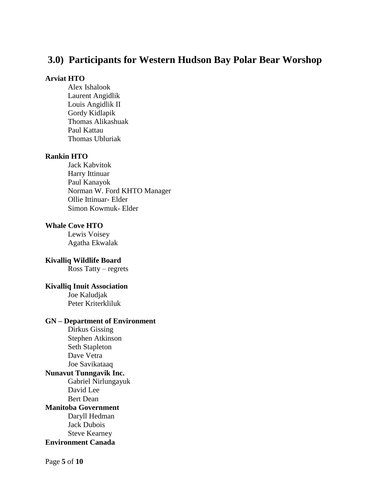# **3.0) Participants for Western Hudson Bay Polar Bear Worshop**

#### **Arviat HTO**

Alex Ishalook Laurent Angidlik Louis Angidlik II Gordy Kidlapik Thomas Alikashuak Paul Kattau Thomas Ubluriak

#### **Rankin HTO**

Jack Kabvitok Harry Ittinuar Paul Kanayok Norman W. Ford KHTO Manager Ollie Ittinuar- Elder Simon Kowmuk- Elder

#### **Whale Cove HTO**

Lewis Voisey Agatha Ekwalak

**Kivalliq Wildlife Board** Ross Tatty – regrets

#### **Kivalliq Inuit Association**

Joe Kaludjak Peter Kriterkliluk

#### **GN – Department of Environment**

Dirkus Gissing Stephen Atkinson Seth Stapleton Dave Vetra Joe Savikataaq **Nunavut Tunngavik Inc.** Gabriel Nirlungayuk David Lee Bert Dean **Manitoba Government** Daryll Hedman Jack Dubois Steve Kearney **Environment Canada**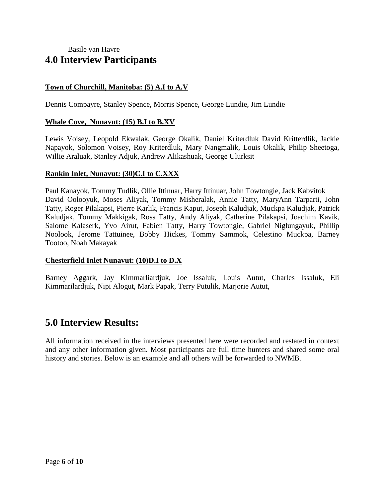# Basile van Havre **4.0 Interview Participants**

# **Town of Churchill, Manitoba: (5) A.I to A.V**

Dennis Compayre, Stanley Spence, Morris Spence, George Lundie, Jim Lundie

#### **Whale Cove, Nunavut: (15) B.I to B.XV**

Lewis Voisey, Leopold Ekwalak, George Okalik, Daniel Kriterdluk David Kritterdlik, Jackie Napayok, Solomon Voisey, Roy Kriterdluk, Mary Nangmalik, Louis Okalik, Philip Sheetoga, Willie Araluak, Stanley Adjuk, Andrew Alikashuak, George Ulurksit

#### **Rankin Inlet, Nunavut: (30)C.I to C.XXX**

Paul Kanayok, Tommy Tudlik, Ollie Ittinuar, Harry Ittinuar, John Towtongie, Jack Kabvitok David Oolooyuk, Moses Aliyak, Tommy Misheralak, Annie Tatty, MaryAnn Tarparti, John Tatty, Roger Pilakapsi, Pierre Karlik, Francis Kaput, Joseph Kaludjak, Muckpa Kaludjak, Patrick Kaludjak, Tommy Makkigak, Ross Tatty, Andy Aliyak, Catherine Pilakapsi, Joachim Kavik, Salome Kalaserk, Yvo Airut, Fabien Tatty, Harry Towtongie, Gabriel Niglungayuk, Phillip Noolook, Jerome Tattuinee, Bobby Hickes, Tommy Sammok, Celestino Muckpa, Barney Tootoo, Noah Makayak

### **Chesterfield Inlet Nunavut: (10)D.I to D.X**

Barney Aggark, Jay Kimmarliardjuk, Joe Issaluk, Louis Autut, Charles Issaluk, Eli Kimmarilardjuk, Nipi Alogut, Mark Papak, Terry Putulik, Marjorie Autut,

# **5.0 Interview Results:**

All information received in the interviews presented here were recorded and restated in context and any other information given. Most participants are full time hunters and shared some oral history and stories. Below is an example and all others will be forwarded to NWMB.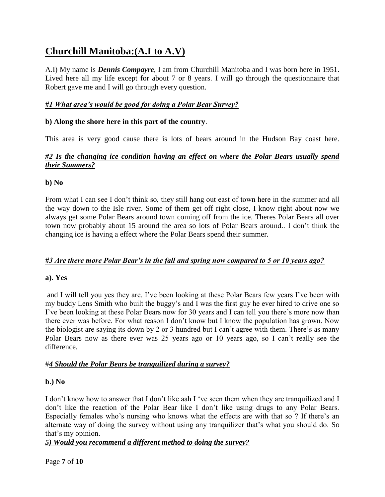# **Churchill Manitoba:(A.I to A.V)**

A.I) My name is *Dennis Compayre*, I am from Churchill Manitoba and I was born here in 1951. Lived here all my life except for about 7 or 8 years. I will go through the questionnaire that Robert gave me and I will go through every question.

# *#1 What area's would be good for doing a Polar Bear Survey?*

# **b) Along the shore here in this part of the country**.

This area is very good cause there is lots of bears around in the Hudson Bay coast here.

# *#2 Is the changing ice condition having an effect on where the Polar Bears usually spend their Summers?*

#### **b) No**

From what I can see I don't think so, they still hang out east of town here in the summer and all the way down to the Isle river. Some of them get off right close, I know right about now we always get some Polar Bears around town coming off from the ice. Theres Polar Bears all over town now probably about 15 around the area so lots of Polar Bears around.. I don't think the changing ice is having a effect where the Polar Bears spend their summer.

### *#3 Are there more Polar Bear's in the fall and spring now compared to 5 or 10 years ago?*

### **a). Yes**

and I will tell you yes they are. I've been looking at these Polar Bears few years I've been with my buddy Lens Smith who built the buggy's and I was the first guy he ever hired to drive one so I've been looking at these Polar Bears now for 30 years and I can tell you there's more now than there ever was before. For what reason I don't know but I know the population has grown. Now the biologist are saying its down by 2 or 3 hundred but I can't agree with them. There's as many Polar Bears now as there ever was 25 years ago or 10 years ago, so I can't really see the difference.

### #*4 Should the Polar Bears be tranquilized during a survey?*

### **b.) No**

I don't know how to answer that I don't like aah I 've seen them when they are tranquilized and I don't like the reaction of the Polar Bear like I don't like using drugs to any Polar Bears. Especially females who's nursing who knows what the effects are with that so ? If there's an alternate way of doing the survey without using any tranquilizer that's what you should do. So that's my opinion.

### *5) Would you recommend a different method to doing the survey?*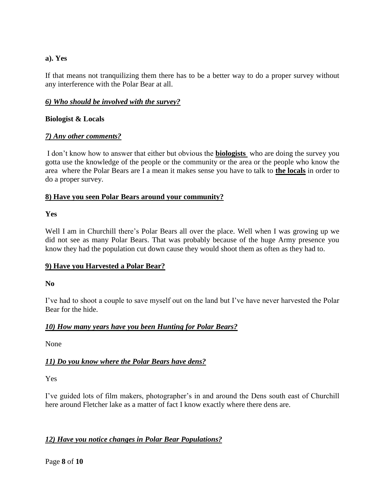### **a). Yes**

If that means not tranquilizing them there has to be a better way to do a proper survey without any interference with the Polar Bear at all.

# *6) Who should be involved with the survey?*

# **Biologist & Locals**

# *7) Any other comments?*

I don't know how to answer that either but obvious the **biologists** who are doing the survey you gotta use the knowledge of the people or the community or the area or the people who know the area where the Polar Bears are I a mean it makes sense you have to talk to **the locals** in order to do a proper survey.

### **8) Have you seen Polar Bears around your community?**

# **Yes**

Well I am in Churchill there's Polar Bears all over the place. Well when I was growing up we did not see as many Polar Bears. That was probably because of the huge Army presence you know they had the population cut down cause they would shoot them as often as they had to.

# **9) Have you Harvested a Polar Bear?**

### **No**

I've had to shoot a couple to save myself out on the land but I've have never harvested the Polar Bear for the hide.

### *10) How many years have you been Hunting for Polar Bears?*

None

# *11) Do you know where the Polar Bears have dens?*

Yes

I've guided lots of film makers, photographer's in and around the Dens south east of Churchill here around Fletcher lake as a matter of fact I know exactly where there dens are.

# *12) Have you notice changes in Polar Bear Populations?*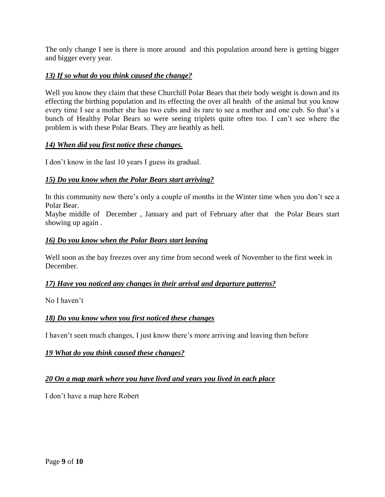The only change I see is there is more around and this population around here is getting bigger and bigger every year.

### *13) If so what do you think caused the change?*

Well you know they claim that these Churchill Polar Bears that their body weight is down and its effecting the birthing population and its effecting the over all health of the animal but you know every time I see a mother she has two cubs and its rare to see a mother and one cub. So that's a bunch of Healthy Polar Bears so were seeing triplets quite often too. I can't see where the problem is with these Polar Bears. They are heathly as hell.

#### *14) When did you first notice these changes.*

I don't know in the last 10 years I guess its gradual.

#### *15) Do you know when the Polar Bears start arriving?*

In this community now there's only a couple of months in the Winter time when you don't see a Polar Bear.

Maybe middle of December , January and part of February after that the Polar Bears start showing up again .

#### *16) Do you know when the Polar Bears start leaving*

Well soon as the bay freezes over any time from second week of November to the first week in December.

#### *17) Have you noticed any changes in their arrival and departure patterns?*

No I haven't

#### *18) Do you know when you first noticed these changes*

I haven't seen much changes, I just know there's more arriving and leaving then before

#### *19 What do you think caused these changes?*

#### *20 On a map mark where you have lived and years you lived in each place*

I don't have a map here Robert